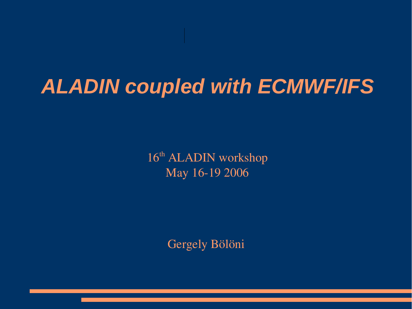## **ALADIN coupled with ECMWF/IFS**

16<sup>th</sup> ALADIN workshop May 16-19 2006

Gergely Bölöni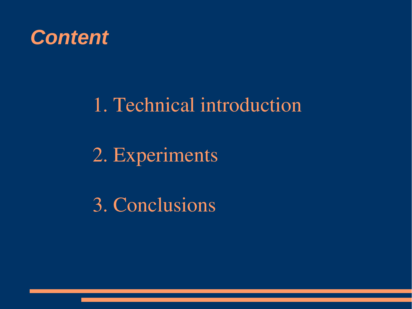

### 1. Technical introduction

2. Experiments

3. Conclusions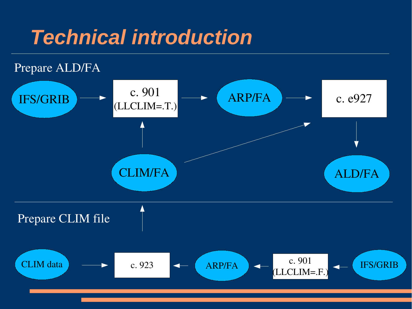## **Technical introduction**

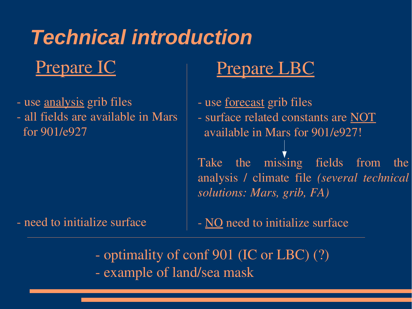# **Technical introduction**

### Prepare IC

- use analysis grib files
- all fields are available in Mars for 901/e927

#### need to initialize surface

### Prepare LBC

- use <u>forecast</u> grib files
- surface related constants are NOT available in Mars for 901/e927!

Take the missing fields from the analysis / climate file *(several technical solutions: Mars, grib, FA)*

- NO need to initialize surface
- optimality of conf 901 (IC or LBC) (?) - example of land/sea mask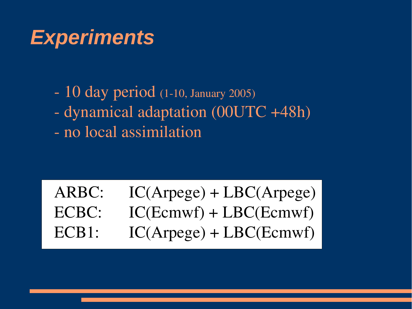## **Experiments**

- $-10$  day period (1-10, January 2005)
- dynamical adaptation (00UTC +48h)
- no local assimilation

### ARBC: IC(Arpege) + LBC(Arpege) ECBC: IC(Ecmwf) + LBC(Ecmwf) ECB1: IC(Arpege) + LBC(Ecmwf)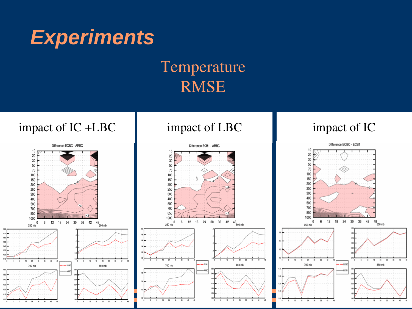

#### Temperature RMSE

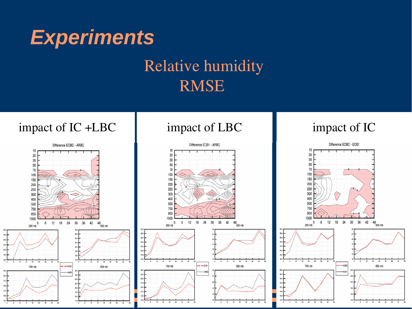

#### Relative humidity RMSE

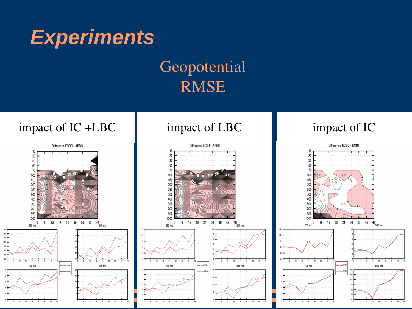

#### Geopotential RMSE

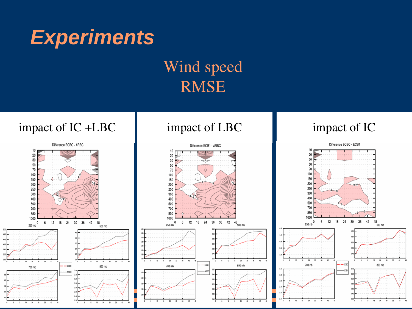

#### Wind speed RMSE

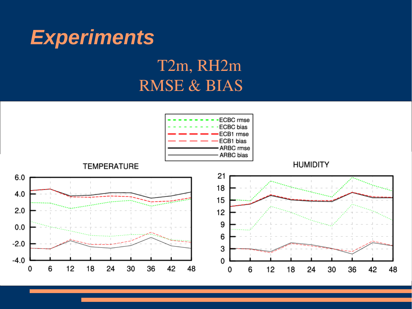

### T2m, RH2m RMSE & BIAS

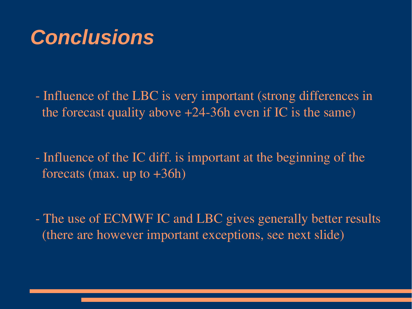## **Conclusions**

- Influence of the LBC is very important (strong differences in the forecast quality above  $+24-36h$  even if IC is the same)

- Influence of the IC diff. is important at the beginning of the forecats (max. up to  $+36h$ )

- The use of ECMWF IC and LBC gives generally better results (there are however important exceptions, see next slide)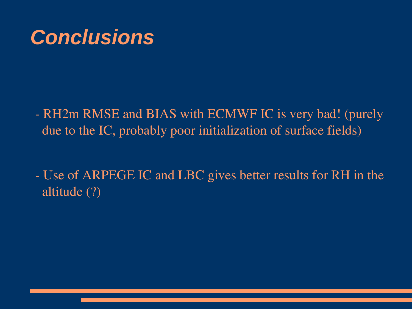## **Conclusions**

- RH2m RMSE and BIAS with ECMWF IC is very bad! (purely due to the IC, probably poor initialization of surface fields)
- Use of ARPEGE IC and LBC gives better results for RH in the altitude (?)